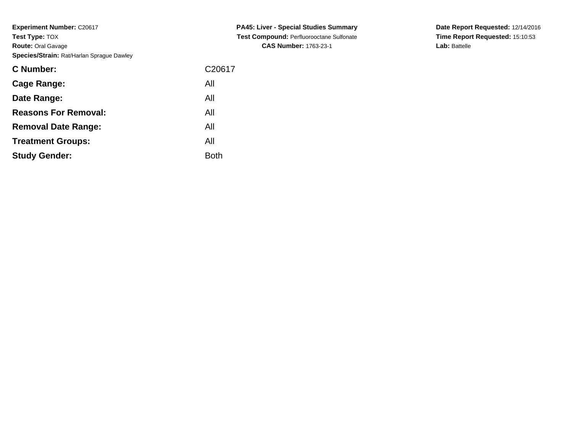**Experiment Number: C20617 Test Type:** TOX **Route:** Oral Gavage**Species/Strain:** Rat/Harlan Sprague Dawley

| <b>C Number:</b>            | C <sub>20617</sub> |
|-----------------------------|--------------------|
| <b>Cage Range:</b>          | All                |
| Date Range:                 | All                |
| <b>Reasons For Removal:</b> | All                |
| <b>Removal Date Range:</b>  | All                |
| <b>Treatment Groups:</b>    | All                |
| <b>Study Gender:</b>        | <b>Both</b>        |

**PA45: Liver - Special Studies Summary Test Compound:** Perfluorooctane Sulfonate**CAS Number:** 1763-23-1

**Date Report Requested:** 12/14/2016 **Time Report Requested:** 15:10:53**Lab:** Battelle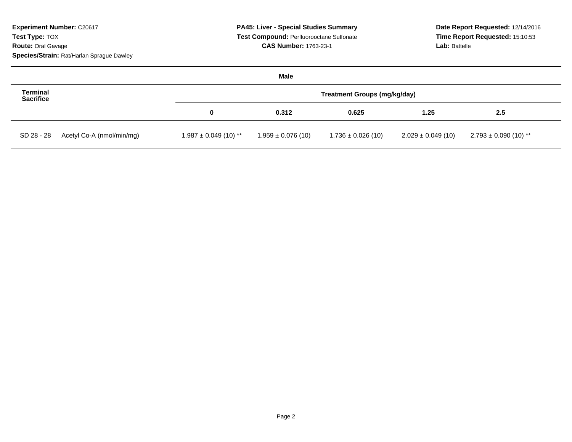| <b>Experiment Number: C20617</b><br><b>Test Type: TOX</b><br><b>Route: Oral Gavage</b><br>Species/Strain: Rat/Harlan Sprague Dawley | <b>PA45: Liver - Special Studies Summary</b><br>Test Compound: Perfluorooctane Sulfonate<br><b>CAS Number: 1763-23-1</b> |                        |                        | Date Report Requested: 12/14/2016<br>Time Report Requested: 15:10:53<br>Lab: Battelle |                           |
|-------------------------------------------------------------------------------------------------------------------------------------|--------------------------------------------------------------------------------------------------------------------------|------------------------|------------------------|---------------------------------------------------------------------------------------|---------------------------|
|                                                                                                                                     |                                                                                                                          | Male                   |                        |                                                                                       |                           |
| <b>Terminal</b><br><b>Sacrifice</b>                                                                                                 | <b>Treatment Groups (mg/kg/day)</b>                                                                                      |                        |                        |                                                                                       |                           |
|                                                                                                                                     | 0                                                                                                                        | 0.312                  | 0.625                  | 1.25                                                                                  | 2.5                       |
| Acetyl Co-A (nmol/min/mg)<br>SD 28 - 28                                                                                             | $1.987 \pm 0.049$ (10) **                                                                                                | $1.959 \pm 0.076$ (10) | $1.736 \pm 0.026$ (10) | $2.029 \pm 0.049$ (10)                                                                | $2.793 \pm 0.090$ (10) ** |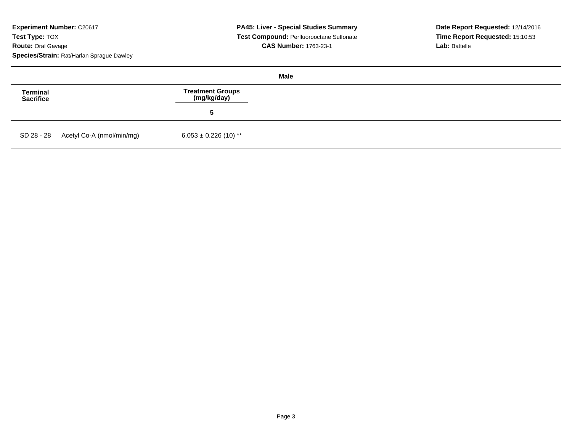**Experiment Number: C20617 Test Type:** TOX **Route:** Oral Gavage**Species/Strain:** Rat/Harlan Sprague Dawley

| Male                         |                                      |                                 |  |  |
|------------------------------|--------------------------------------|---------------------------------|--|--|
| <b>Terminal</b><br>Sacrifice |                                      | Treatment Groups<br>(mg/kg/day) |  |  |
|                              |                                      | b                               |  |  |
|                              | SD 28 - 28 Acetyl Co-A (nmol/min/mg) | $6.053 \pm 0.226$ (10) **       |  |  |